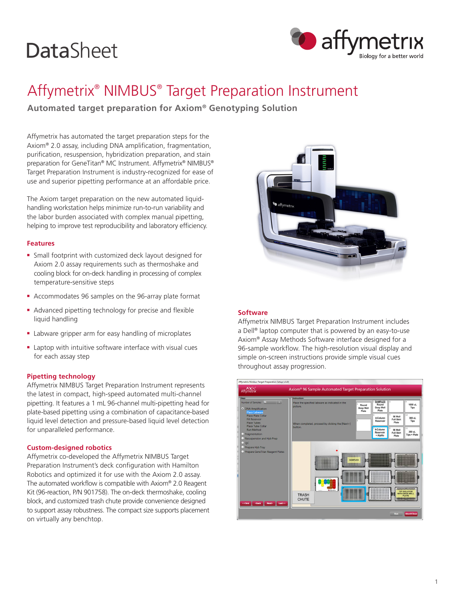# **DataSheet**



## Affymetrix® NIMBUS® Target Preparation Instrument

**Automated target preparation for Axiom® Genotyping Solution** 

Affymetrix has automated the target preparation steps for the Axiom® 2.0 assay, including DNA amplification, fragmentation, purification, resuspension, hybridization preparation, and stain preparation for GeneTitan® MC Instrument. Affymetrix® NIMBUS® Target Preparation Instrument is industry-recognized for ease of use and superior pipetting performance at an affordable price.

The Axiom target preparation on the new automated liquidhandling workstation helps minimize run-to-run variability and the labor burden associated with complex manual pipetting, helping to improve test reproducibility and laboratory efficiency.

### **Features**

- **F** Small footprint with customized deck layout designed for Axiom 2.0 assay requirements such as thermoshake and cooling block for on-deck handling in processing of complex temperature-sensitive steps
- <sup>n</sup> Accommodates 96 samples on the 96-array plate format
- Advanced pipetting technology for precise and flexible liquid handling
- **E** Labware gripper arm for easy handling of microplates
- $\blacksquare$  Laptop with intuitive software interface with visual cues for each assay step

### **Pipetting technology**

Affymetrix NIMBUS Target Preparation Instrument represents the latest in compact, high-speed automated multi-channel pipetting. It features a 1 mL 96-channel multi-pipetting head for plate-based pipetting using a combination of capacitance-based liquid level detection and pressure-based liquid level detection for unparalleled performance.

### **Custom-designed robotics**

Affymetrix co-developed the Affymetrix NIMBUS Target Preparation Instrument's deck configuration with Hamilton Robotics and optimized it for use with the Axiom 2.0 assay. The automated workflow is compatible with Axiom® 2.0 Reagent Kit (96-reaction, P/N 901758). The on-deck thermoshake, cooling block, and customized trash chute provide convenience designed to support assay robustness. The compact size supports placement on virtually any benchtop.



### **Software**

Affymetrix NIMBUS Target Preparation Instrument includes a Dell® laptop computer that is powered by an easy-to-use Axiom® Assay Methods Software interface designed for a 96-sample workflow. The high-resolution visual display and simple on-screen instructions provide simple visual cues throughout assay progression.